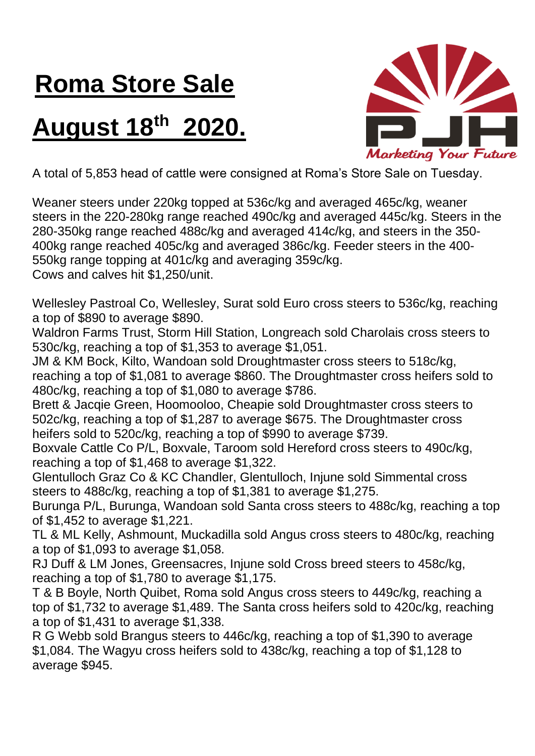## **Roma Store Sale**

## **August 18 th 2020.**



A total of 5,853 head of cattle were consigned at Roma's Store Sale on Tuesday.

Weaner steers under 220kg topped at 536c/kg and averaged 465c/kg, weaner steers in the 220-280kg range reached 490c/kg and averaged 445c/kg. Steers in the 280-350kg range reached 488c/kg and averaged 414c/kg, and steers in the 350- 400kg range reached 405c/kg and averaged 386c/kg. Feeder steers in the 400- 550kg range topping at 401c/kg and averaging 359c/kg.

Cows and calves hit \$1,250/unit.

Wellesley Pastroal Co, Wellesley, Surat sold Euro cross steers to 536c/kg, reaching a top of \$890 to average \$890.

Waldron Farms Trust, Storm Hill Station, Longreach sold Charolais cross steers to 530c/kg, reaching a top of \$1,353 to average \$1,051.

JM & KM Bock, Kilto, Wandoan sold Droughtmaster cross steers to 518c/kg, reaching a top of \$1,081 to average \$860. The Droughtmaster cross heifers sold to 480c/kg, reaching a top of \$1,080 to average \$786.

Brett & Jacqie Green, Hoomooloo, Cheapie sold Droughtmaster cross steers to 502c/kg, reaching a top of \$1,287 to average \$675. The Droughtmaster cross heifers sold to 520c/kg, reaching a top of \$990 to average \$739.

Boxvale Cattle Co P/L, Boxvale, Taroom sold Hereford cross steers to 490c/kg, reaching a top of \$1,468 to average \$1,322.

Glentulloch Graz Co & KC Chandler, Glentulloch, Injune sold Simmental cross steers to 488c/kg, reaching a top of \$1,381 to average \$1,275.

Burunga P/L, Burunga, Wandoan sold Santa cross steers to 488c/kg, reaching a top of \$1,452 to average \$1,221.

TL & ML Kelly, Ashmount, Muckadilla sold Angus cross steers to 480c/kg, reaching a top of \$1,093 to average \$1,058.

RJ Duff & LM Jones, Greensacres, Injune sold Cross breed steers to 458c/kg, reaching a top of \$1,780 to average \$1,175.

T & B Boyle, North Quibet, Roma sold Angus cross steers to 449c/kg, reaching a top of \$1,732 to average \$1,489. The Santa cross heifers sold to 420c/kg, reaching a top of \$1,431 to average \$1,338.

R G Webb sold Brangus steers to 446c/kg, reaching a top of \$1,390 to average \$1,084. The Wagyu cross heifers sold to 438c/kg, reaching a top of \$1,128 to average \$945.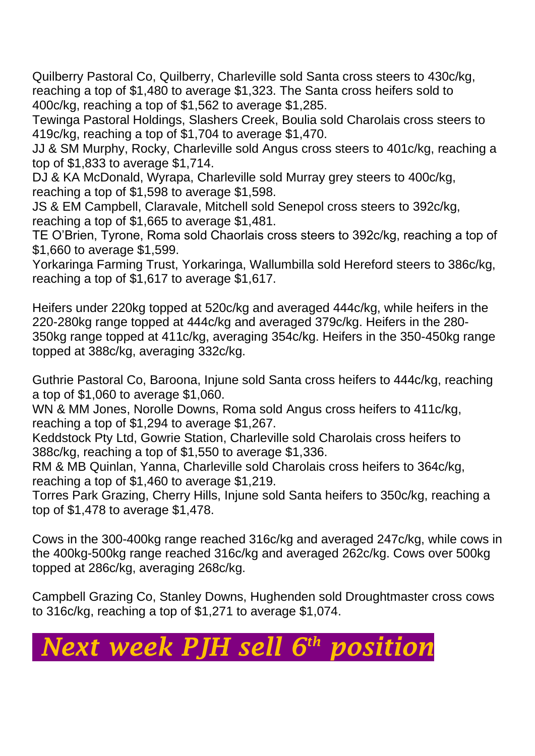Quilberry Pastoral Co, Quilberry, Charleville sold Santa cross steers to 430c/kg, reaching a top of \$1,480 to average \$1,323. The Santa cross heifers sold to 400c/kg, reaching a top of \$1,562 to average \$1,285.

Tewinga Pastoral Holdings, Slashers Creek, Boulia sold Charolais cross steers to 419c/kg, reaching a top of \$1,704 to average \$1,470.

JJ & SM Murphy, Rocky, Charleville sold Angus cross steers to 401c/kg, reaching a top of \$1,833 to average \$1,714.

DJ & KA McDonald, Wyrapa, Charleville sold Murray grey steers to 400c/kg, reaching a top of \$1,598 to average \$1,598.

JS & EM Campbell, Claravale, Mitchell sold Senepol cross steers to 392c/kg, reaching a top of \$1,665 to average \$1,481.

TE O'Brien, Tyrone, Roma sold Chaorlais cross steers to 392c/kg, reaching a top of \$1,660 to average \$1,599.

Yorkaringa Farming Trust, Yorkaringa, Wallumbilla sold Hereford steers to 386c/kg, reaching a top of \$1,617 to average \$1,617.

Heifers under 220kg topped at 520c/kg and averaged 444c/kg, while heifers in the 220-280kg range topped at 444c/kg and averaged 379c/kg. Heifers in the 280- 350kg range topped at 411c/kg, averaging 354c/kg. Heifers in the 350-450kg range topped at 388c/kg, averaging 332c/kg.

Guthrie Pastoral Co, Baroona, Injune sold Santa cross heifers to 444c/kg, reaching a top of \$1,060 to average \$1,060.

WN & MM Jones, Norolle Downs, Roma sold Angus cross heifers to 411c/kg, reaching a top of \$1,294 to average \$1,267.

Keddstock Pty Ltd, Gowrie Station, Charleville sold Charolais cross heifers to 388c/kg, reaching a top of \$1,550 to average \$1,336.

RM & MB Quinlan, Yanna, Charleville sold Charolais cross heifers to 364c/kg, reaching a top of \$1,460 to average \$1,219.

Torres Park Grazing, Cherry Hills, Injune sold Santa heifers to 350c/kg, reaching a top of \$1,478 to average \$1,478.

Cows in the 300-400kg range reached 316c/kg and averaged 247c/kg, while cows in the 400kg-500kg range reached 316c/kg and averaged 262c/kg. Cows over 500kg topped at 286c/kg, averaging 268c/kg.

Campbell Grazing Co, Stanley Downs, Hughenden sold Droughtmaster cross cows to 316c/kg, reaching a top of \$1,271 to average \$1,074.

## *Next week PJH sell 6 th position*